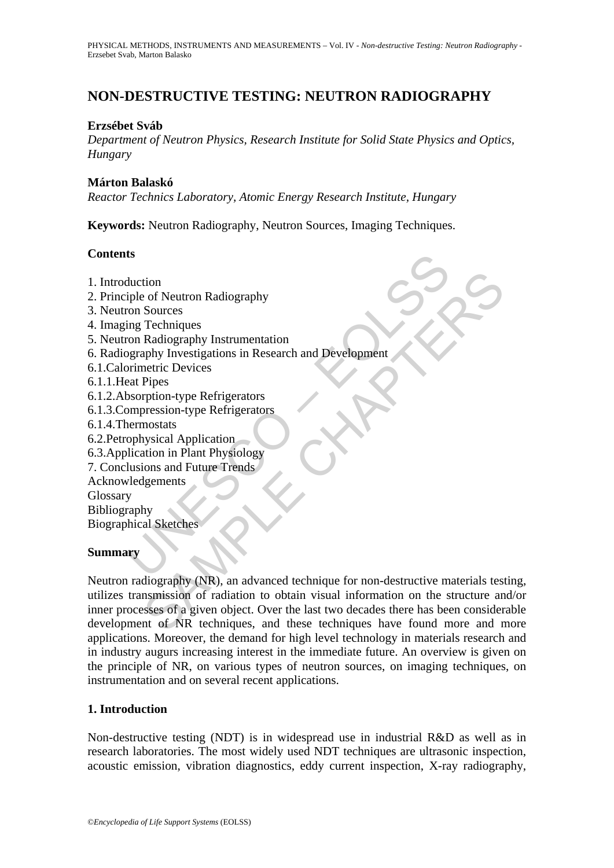# **NON-DESTRUCTIVE TESTING: NEUTRON RADIOGRAPHY**

## **Erzsébet Sváb**

*Department of Neutron Physics, Research Institute for Solid State Physics and Optics, Hungary* 

### **Márton Balaskó**

*Reactor Technics Laboratory, Atomic Energy Research Institute, Hungary* 

**Keywords:** Neutron Radiography, Neutron Sources, Imaging Techniques.

### **Contents**

- 1. Introduction
- 2. Principle of Neutron Radiography
- 3. Neutron Sources
- 4. Imaging Techniques
- 5. Neutron Radiography Instrumentation
- ts<br>
duction<br>
iple of Neutron Radiography<br>
ron Sources<br>
ing Techniques<br>
ron Radiography Instrumentation<br>
orimetric Devices<br>
orimetric Devices<br>
eat Pipes<br>
bsorption-type Refrigerators<br>
shorption-type Refrigerators<br>
eat Pipes 6. Radiography Investigations in Research and Development
- 6.1.Calorimetric Devices
- 6.1.1.Heat Pipes
- 6.1.2.Absorption-type Refrigerators
- 6.1.3.Compression-type Refrigerators
- 6.1.4.Thermostats
- 6.2.Petrophysical Application
- 6.3.Application in Plant Physiology
- 7. Conclusions and Future Trends
- Acknowledgements
- Glossary
- Bibliography

Biographical Sketches

## **Summary**

tion<br>
of Neutron Radiography<br>
Sources<br>
Techniques<br>
Radiography Instrumentation<br>
aphy Investigations in Research and Development<br>
Pipes<br>
Pripis<br>
pripises<br>
pripises (pripises)<br>
pripises (pripises)<br>
systed Application<br>
and Fu Neutron radiography (NR), an advanced technique for non-destructive materials testing, utilizes transmission of radiation to obtain visual information on the structure and/or inner processes of a given object. Over the last two decades there has been considerable development of NR techniques, and these techniques have found more and more applications. Moreover, the demand for high level technology in materials research and in industry augurs increasing interest in the immediate future. An overview is given on the principle of NR, on various types of neutron sources, on imaging techniques, on instrumentation and on several recent applications.

## **1. Introduction**

Non-destructive testing (NDT) is in widespread use in industrial R&D as well as in research laboratories. The most widely used NDT techniques are ultrasonic inspection, acoustic emission, vibration diagnostics, eddy current inspection, X-ray radiography,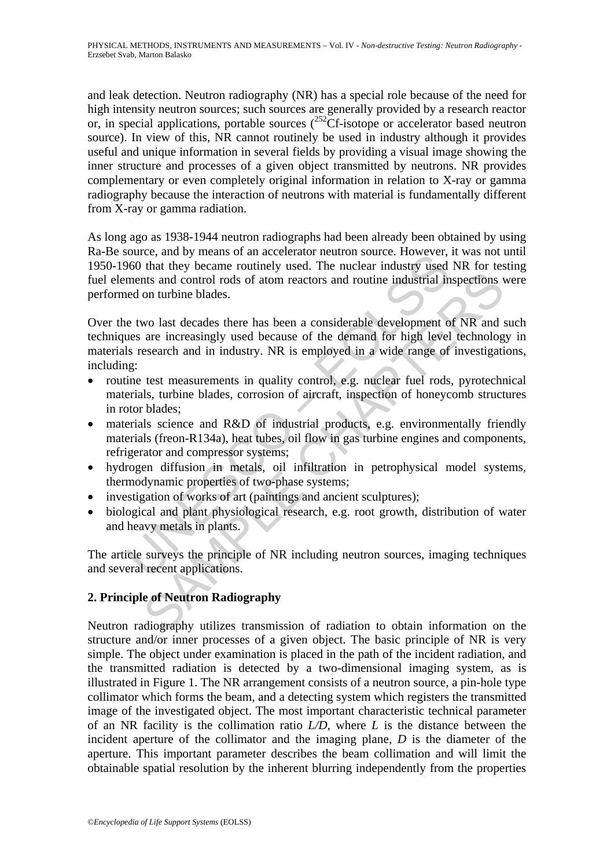and leak detection. Neutron radiography (NR) has a special role because of the need for high intensity neutron sources; such sources are generally provided by a research reactor or, in special applications, portable sources (<sup>252</sup>Cf-isotope or accelerator based neutron source). In view of this, NR cannot routinely be used in industry although it provides useful and unique information in several fields by providing a visual image showing the inner structure and processes of a given object transmitted by neutrons. NR provides complementary or even completely original information in relation to X-ray or gamma radiography because the interaction of neutrons with material is fundamentally different from X-ray or gamma radiation.

As long ago as 1938-1944 neutron radiographs had been already been obtained by using Ra-Be source, and by means of an accelerator neutron source. However, it was not until 1950-1960 that they became routinely used. The nuclear industry used NR for testing fuel elements and control rods of atom reactors and routine industrial inspections were performed on turbine blades.

bottlee, and by means of an accelerator neutron source. Thowever, the booth of the they became rottinely used. The nuclear industry used ments and control rods of atom reactors and routine industrial in events and control this and control rods of atom reactors and routine industrial inspections on turbine blades.<br>
wo last decades there has been a considerable development of NR and are increasingly used because of the demand for high level t Over the two last decades there has been a considerable development of NR and such techniques are increasingly used because of the demand for high level technology in materials research and in industry. NR is employed in a wide range of investigations, including:

- routine test measurements in quality control, e.g. nuclear fuel rods, pyrotechnical materials, turbine blades, corrosion of aircraft, inspection of honeycomb structures in rotor blades;
- materials science and R&D of industrial products, e.g. environmentally friendly materials (freon-R134a), heat tubes, oil flow in gas turbine engines and components, refrigerator and compressor systems;
- hydrogen diffusion in metals, oil infiltration in petrophysical model systems, thermodynamic properties of two-phase systems;
- investigation of works of art (paintings and ancient sculptures);
- biological and plant physiological research, e.g. root growth, distribution of water and heavy metals in plants.

The article surveys the principle of NR including neutron sources, imaging techniques and several recent applications.

## **2. Principle of Neutron Radiography**

Neutron radiography utilizes transmission of radiation to obtain information on the structure and/or inner processes of a given object. The basic principle of NR is very simple. The object under examination is placed in the path of the incident radiation, and the transmitted radiation is detected by a two-dimensional imaging system, as is illustrated in Figure 1. The NR arrangement consists of a neutron source, a pin-hole type collimator which forms the beam, and a detecting system which registers the transmitted image of the investigated object. The most important characteristic technical parameter of an NR facility is the collimation ratio *L/D*, where *L* is the distance between the incident aperture of the collimator and the imaging plane, *D* is the diameter of the aperture. This important parameter describes the beam collimation and will limit the obtainable spatial resolution by the inherent blurring independently from the properties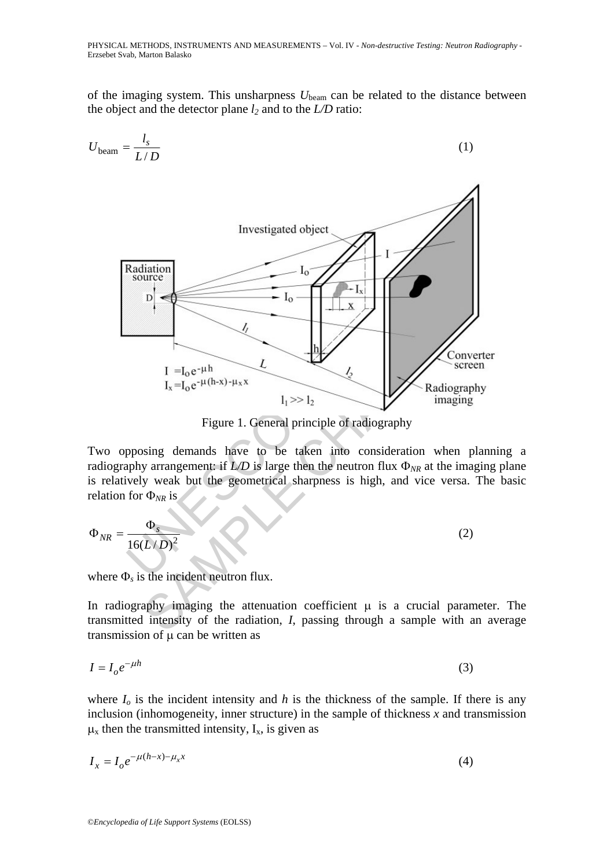of the imaging system. This unsharpness *U*beam can be related to the distance between the object and the detector plane  $l_2$  and to the  $L/D$  ratio:

$$
U_{\text{beam}} = \frac{I_s}{L/D}
$$
\nInvestigated object  
source  
source  
D  
I<sub>0</sub>

\nResult of a  
number

\nInduction  
L

\nInvestigated object  
D

\nInters, and the  
average

\nEquation  
L

\nInters, we have to be taken into consideration when planning  
radiography arrangement if *L/D* is large then the neutron flux  $\Phi_{NR}$  at the imaging  
of a  
relation for  $\Phi_{NR}$  is

\nequation for  $\Phi_{NR}$  is

\nEquation  
A

\nwhere  $\Phi_s$  is the incident neutron flux.

\nIn radiography imaging, the attenuation coefficient  $\mu$  is a crucial parameter.

\nEquation  
L

\nInters, we have

\nEquation  
L

\nInters, we have

\nEquation  
L

\nInters, we have

\nEquation  
L

\nEquation  
L

\nEquation  
L

\nEquation  
L

\nEquation  
L

\nEquation  
L

\nEquation  
L

\nEquation  
L

\nEquation  
L

\nEquation  
L

\nEquation  
L

\nEquation  
L

\nEquation  
L

\nEquation  
L

\nEquation  
L

\nEquation  
L

\nEquation  
L

\nEquation  
L

\nEquation  
L

\nEquation  
L

\nEquation  
L

\nEquation  
L

\nEquation  
L

\nEquation  
L

\nEquation  
L

\nEquation  
L

\nEquation  
L

\nEquation  
L

\nEquation  
L

\nEquation  
L

\nEquation  
L

\nEquation  
L

\nEquation  
L

\nEquation  
L

\nEquation  
L

\nEquation  
L

\nEquation  
L

\nEquation  
L

\nEquation  
L

\nEquation  
L

\nEqu

Figure 1. General principle of radiography

Two opposing demands have to be taken into consideration when planning a radiography arrangement: if  $L/D$  is large then the neutron flux  $\Phi_{NR}$  at the imaging plane is relatively weak but the geometrical sharpness is high, and vice versa. The basic relation for Φ*NR* is

$$
\Phi_{NR} = \frac{\Phi_s}{16(L/D)^2}
$$
 (2)

where Φ*s* is the incident neutron flux.

In radiography imaging the attenuation coefficient  $\mu$  is a crucial parameter. The transmitted intensity of the radiation, *I*, passing through a sample with an average transmission of  $\mu$  can be written as

$$
I = I_0 e^{-\mu h} \tag{3}
$$

where  $I_0$  is the incident intensity and  $h$  is the thickness of the sample. If there is any inclusion (inhomogeneity, inner structure) in the sample of thickness *x* and transmission  $\mu_x$  then the transmitted intensity,  $I_x$ , is given as

$$
I_x = I_o e^{-\mu(h-x) - \mu_x x} \tag{4}
$$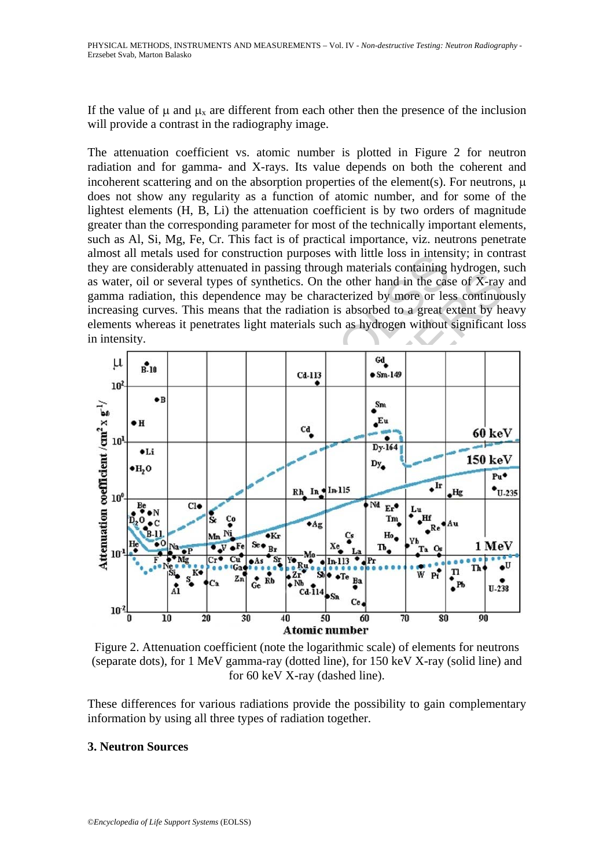If the value of  $\mu$  and  $\mu_x$  are different from each other then the presence of the inclusion will provide a contrast in the radiography image.

The attenuation coefficient vs. atomic number is plotted in Figure 2 for neutron radiation and for gamma- and X-rays. Its value depends on both the coherent and incoherent scattering and on the absorption properties of the element(s). For neutrons,  $\mu$ does not show any regularity as a function of atomic number, and for some of the lightest elements (H, B, Li) the attenuation coefficient is by two orders of magnitude greater than the corresponding parameter for most of the technically important elements, such as Al, Si, Mg, Fe, Cr. This fact is of practical importance, viz. neutrons penetrate almost all metals used for construction purposes with little loss in intensity; in contrast they are considerably attenuated in passing through materials containing hydrogen, such as water, oil or several types of synthetics. On the other hand in the case of X-ray and gamma radiation, this dependence may be characterized by more or less continuously increasing curves. This means that the radiation is absorbed to a great extent by heavy elements whereas it penetrates light materials such as hydrogen without significant loss in intensity.



Figure 2. Attenuation coefficient (note the logarithmic scale) of elements for neutrons (separate dots), for 1 MeV gamma-ray (dotted line), for 150 keV X-ray (solid line) and for 60 keV X-ray (dashed line).

These differences for various radiations provide the possibility to gain complementary information by using all three types of radiation together.

### **3. Neutron Sources**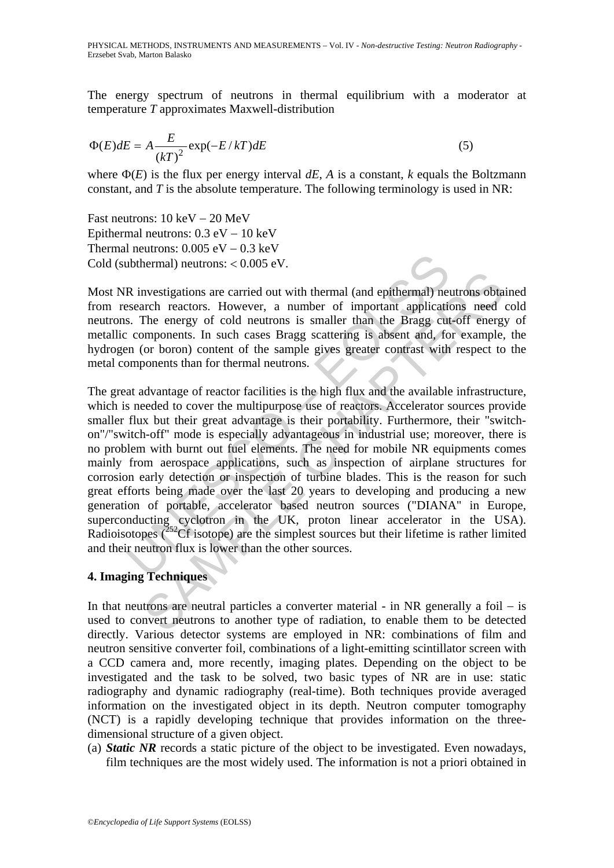The energy spectrum of neutrons in thermal equilibrium with a moderator at temperature *T* approximates Maxwell-distribution

$$
\Phi(E)dE = A \frac{E}{\left(kT\right)^2} \exp(-E/kT)dE \tag{5}
$$

where  $\Phi(E)$  is the flux per energy interval  $dE$ , *A* is a constant, *k* equals the Boltzmann constant, and *T* is the absolute temperature. The following terminology is used in NR:

Fast neutrons: 10 keV − 20 MeV Epithermal neutrons: 0.3 eV − 10 keV Thermal neutrons:  $0.005 \text{ eV} - 0.3 \text{ keV}$ Cold (subthermal) neutrons: < 0.005 eV.

Most NR investigations are carried out with thermal (and epithermal) neutrons obtained from research reactors. However, a number of important applications need cold neutrons. The energy of cold neutrons is smaller than the Bragg cut-off energy of metallic components. In such cases Bragg scattering is absent and, for example, the hydrogen (or boron) content of the sample gives greater contrast with respect to the metal components than for thermal neutrons.

**Example 10** neutrons: < 0.005 eV.<br>
R investigations are carried out with thermal (and epithermal) neutrons: < 0.005 eV.<br>
R investigations are carried out with thermal (and epithermal) neusearch reactors. However, a numbe nvestigations are carried out with thermal (and epithermal) neutrons obtach<br>rach reactors. However, a number of important applications need<br>The energy of cold neutrons is smaller than the Bragg cut-off energy<br>or boron) co The great advantage of reactor facilities is the high flux and the available infrastructure, which is needed to cover the multipurpose use of reactors. Accelerator sources provide smaller flux but their great advantage is their portability. Furthermore, their "switchon"/"switch-off" mode is especially advantageous in industrial use; moreover, there is no problem with burnt out fuel elements. The need for mobile NR equipments comes mainly from aerospace applications, such as inspection of airplane structures for corrosion early detection or inspection of turbine blades. This is the reason for such great efforts being made over the last 20 years to developing and producing a new generation of portable, accelerator based neutron sources ("DIANA" in Europe, superconducting cyclotron in the UK, proton linear accelerator in the USA). Radioisotopes  $(^{252}Cf$  isotope) are the simplest sources but their lifetime is rather limited and their neutron flux is lower than the other sources.

## **4. Imaging Techniques**

In that neutrons are neutral particles a converter material - in NR generally a foil − is used to convert neutrons to another type of radiation, to enable them to be detected directly. Various detector systems are employed in NR: combinations of film and neutron sensitive converter foil, combinations of a light-emitting scintillator screen with a CCD camera and, more recently, imaging plates. Depending on the object to be investigated and the task to be solved, two basic types of NR are in use: static radiography and dynamic radiography (real-time). Both techniques provide averaged information on the investigated object in its depth. Neutron computer tomography (NCT) is a rapidly developing technique that provides information on the threedimensional structure of a given object.

(a) *Static NR* records a static picture of the object to be investigated. Even nowadays, film techniques are the most widely used. The information is not a priori obtained in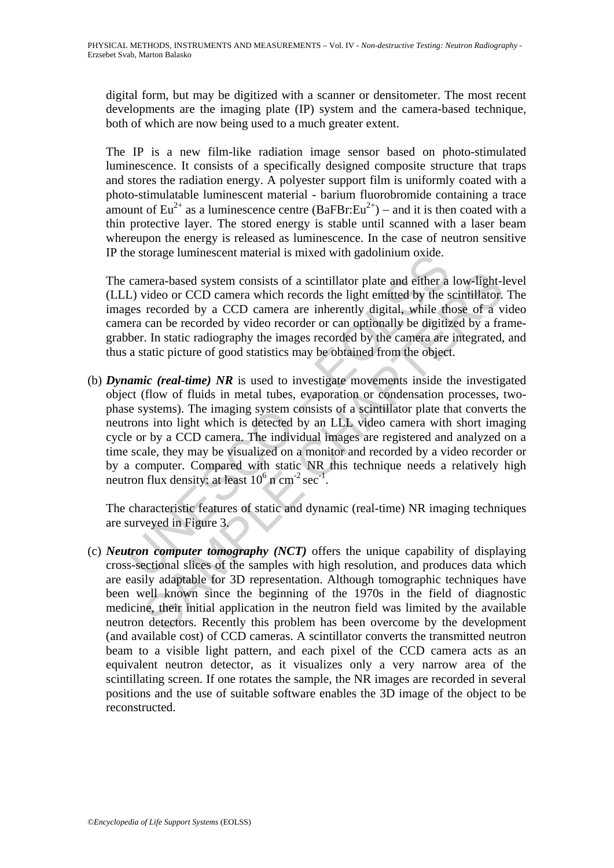digital form, but may be digitized with a scanner or densitometer. The most recent developments are the imaging plate (IP) system and the camera-based technique, both of which are now being used to a much greater extent.

The IP is a new film-like radiation image sensor based on photo-stimulated luminescence. It consists of a specifically designed composite structure that traps and stores the radiation energy. A polyester support film is uniformly coated with a photo-stimulatable luminescent material - barium fluorobromide containing a trace amount of Eu<sup>2+</sup> as a luminescence centre (BaFBr:Eu<sup>2+</sup>) – and it is then coated with a thin protective layer. The stored energy is stable until scanned with a laser beam whereupon the energy is released as luminescence. In the case of neutron sensitive IP the storage luminescent material is mixed with gadolinium oxide.

The camera-based system consists of a scintillator plate and either a low-light-level (LLL) video or CCD camera which records the light emitted by the scintillator. The images recorded by a CCD camera are inherently digital, while those of a video camera can be recorded by video recorder or can optionally be digitized by a framegrabber. In static radiography the images recorded by the camera are integrated, and thus a static picture of good statistics may be obtained from the object.

is solving the minimization in the same of the same of the solving and set and either a L) video or CCD camera which records the light emitted by the spess recorded by a CCD camera are inherently digital, while thera can mera-based system consists of a scintillator plate and either a low-light-lyideo or CCD camera which records the light emitted by the scintillator. recorded by a CCD camera are inherently digital, while those of a v-<br>can (b) *Dynamic (real-time) NR* is used to investigate movements inside the investigated object (flow of fluids in metal tubes, evaporation or condensation processes, twophase systems). The imaging system consists of a scintillator plate that converts the neutrons into light which is detected by an LLL video camera with short imaging cycle or by a CCD camera. The individual images are registered and analyzed on a time scale, they may be visualized on a monitor and recorded by a video recorder or by a computer. Compared with static NR this technique needs a relatively high neutron flux density: at least  $10^6$  n cm<sup>-2</sup> sec<sup>-1</sup>.

The characteristic features of static and dynamic (real-time) NR imaging techniques are surveyed in Figure 3.

(c) *Neutron computer tomography (NCT)* offers the unique capability of displaying cross-sectional slices of the samples with high resolution, and produces data which are easily adaptable for 3D representation. Although tomographic techniques have been well known since the beginning of the 1970s in the field of diagnostic medicine, their initial application in the neutron field was limited by the available neutron detectors. Recently this problem has been overcome by the development (and available cost) of CCD cameras. A scintillator converts the transmitted neutron beam to a visible light pattern, and each pixel of the CCD camera acts as an equivalent neutron detector, as it visualizes only a very narrow area of the scintillating screen. If one rotates the sample, the NR images are recorded in several positions and the use of suitable software enables the 3D image of the object to be reconstructed.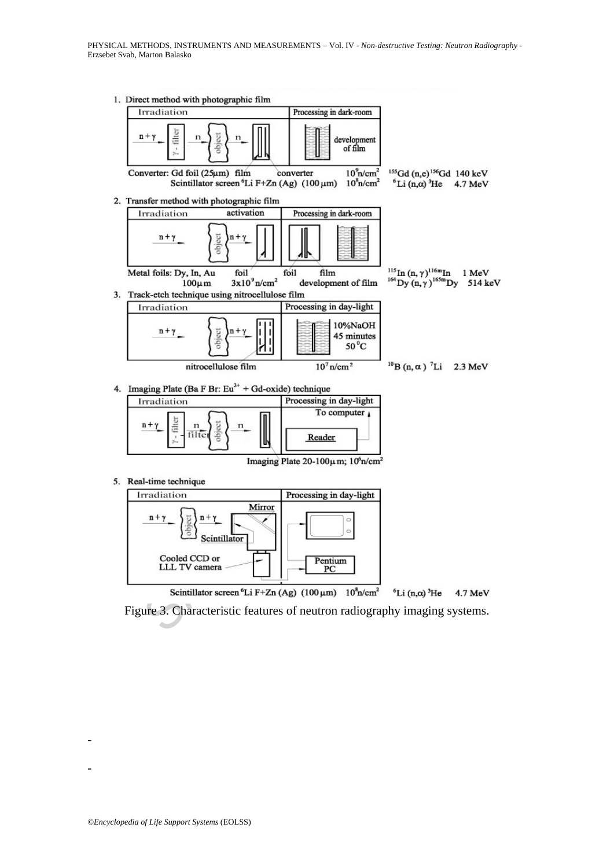1. Direct method with photographic film



| Irradiation | Processing in day-light |
|-------------|-------------------------|
| $n +$       | To computer 1           |
|             | Reader                  |



Figure 3. Characteristic features of neutron radiography imaging systems.

-

-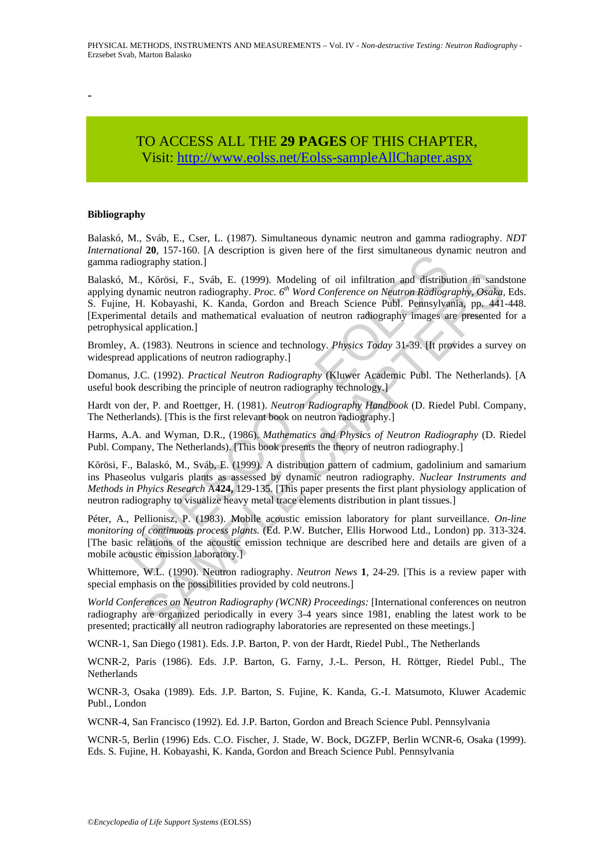-

## TO ACCESS ALL THE **29 PAGES** OF THIS CHAPTER, Visi[t: http://www.eolss.net/Eolss-sampleAllChapter.aspx](https://www.eolss.net/ebooklib/sc_cart.aspx?File=E6-08-05-06)

#### **Bibliography**

Balaskó, M., Sváb, E., Cser, L. (1987). Simultaneous dynamic neutron and gamma radiography. *NDT International* **20**, 157-160. [A description is given here of the first simultaneous dynamic neutron and gamma radiography station.]

And Lot, 157 Foot. [11 description is given ince of the line simulations and distribution and distribution and distribution and distribution and distribution and distribution and incredibly. Hvc.  $6^{th}$  *Word Conference o* Körösi, F., Sváb, E. (1999). Modeling of oil infiltration and distribution in sand<br>
amic neutron radiography. *Proc. 6<sup>8</sup> Word Conference on Neutron Radiography, Osaka*,<br>
I. Kobayashi, K. Kanda, Groton and Breach Science Balaskó, M., Kőrösi, F., Sváb, E. (1999). Modeling of oil infiltration and distribution in sandstone applying dynamic neutron radiography. *Proc. 6th Word Conference on Neutron Radiography, Osaka*, Eds. S. Fujine, H. Kobayashi, K. Kanda, Gordon and Breach Science Publ. Pennsylvania, pp. 441-448. [Experimental details and mathematical evaluation of neutron radiography images are presented for a petrophysical application.]

Bromley, A. (1983). Neutrons in science and technology. *Physics Today* 31-39. [It provides a survey on widespread applications of neutron radiography.]

Domanus, J.C. (1992). *Practical Neutron Radiography* (Kluwer Academic Publ. The Netherlands). [A useful book describing the principle of neutron radiography technology.]

Hardt von der, P. and Roettger, H. (1981). *Neutron Radiography Handbook* (D. Riedel Publ. Company, The Netherlands). [This is the first relevant book on neutron radiography.]

Harms, A.A. and Wyman, D.R., (1986). *Mathematics and Physics of Neutron Radiography* (D. Riedel Publ. Company, The Netherlands). [This book presents the theory of neutron radiography.]

Kőrösi, F., Balaskó, M., Sváb, E. (1999). A distribution pattern of cadmium, gadolinium and samarium ins Phaseolus vulgaris plants as assessed by dynamic neutron radiography. *Nuclear Instruments and Methods in Phyics Research* A**424,** 129-135. [This paper presents the first plant physiology application of neutron radiography to visualize heavy metal trace elements distribution in plant tissues.]

Péter, A., Pellionisz, P. (1983). Mobile acoustic emission laboratory for plant surveillance. *On-line monitoring of continuous process plants.* (Ed. P.W. Butcher, Ellis Horwood Ltd., London) pp. 313-324. [The basic relations of the acoustic emission technique are described here and details are given of a mobile acoustic emission laboratory.]

Whittemore, W.L. (1990). Neutron radiography. *Neutron News* **1**, 24-29. [This is a review paper with special emphasis on the possibilities provided by cold neutrons.]

*World Conferences on Neutron Radiography (WCNR) Proceedings:* [International conferences on neutron radiography are organized periodically in every 3-4 years since 1981, enabling the latest work to be presented; practically all neutron radiography laboratories are represented on these meetings.]

WCNR-1, San Diego (1981). Eds. J.P. Barton, P. von der Hardt, Riedel Publ., The Netherlands

WCNR-2, Paris (1986). Eds. J.P. Barton, G. Farny, J.-L. Person, H. Röttger, Riedel Publ., The Netherlands

WCNR-3, Osaka (1989). Eds. J.P. Barton, S. Fujine, K. Kanda, G.-I. Matsumoto, Kluwer Academic Publ., London

WCNR-4, San Francisco (1992). Ed. J.P. Barton, Gordon and Breach Science Publ. Pennsylvania

WCNR-5, Berlin (1996) Eds. C.O. Fischer, J. Stade, W. Bock, DGZFP, Berlin WCNR-6, Osaka (1999). Eds. S. Fujine, H. Kobayashi, K. Kanda, Gordon and Breach Science Publ. Pennsylvania